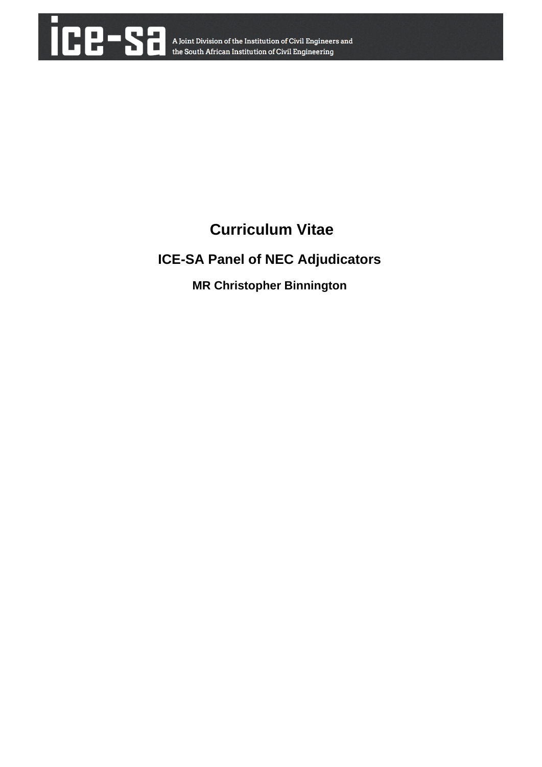

# **Curriculum Vitae**

## **ICE-SA Panel of NEC Adjudicators**

**MR Christopher Binnington**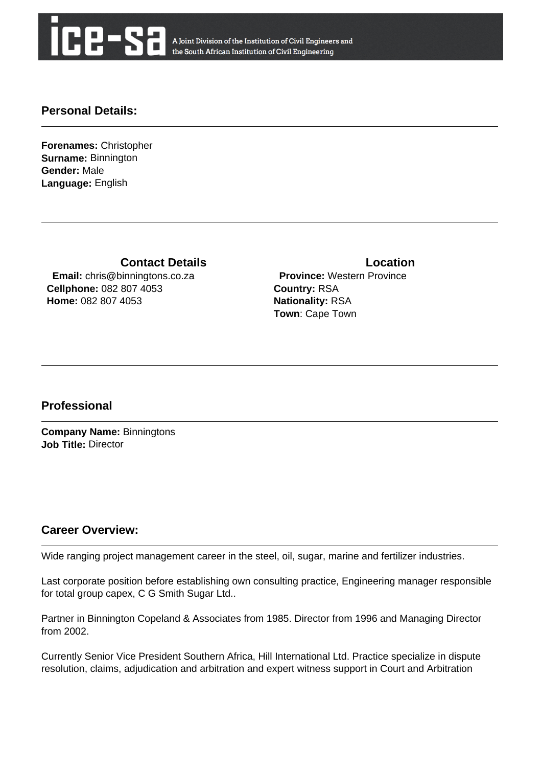

A Joint Division of the Institution of Civil Engineers and the South African Institution of Civil Engineering

#### **Personal Details:**

**Forenames:** Christopher **Surname:** Binnington **Gender:** Male **Language:** English

**Contact Details Contact Details** 

 **Email:** chris@binningtons.co.za **Cellphone:** 082 807 4053 **Home:** 082 807 4053

 **Province:** Western Province **Country:** RSA **Nationality:** RSA **Town**: Cape Town

#### **Professional**

**Company Name:** Binningtons **Job Title:** Director

#### **Career Overview:**

Wide ranging project management career in the steel, oil, sugar, marine and fertilizer industries.

Last corporate position before establishing own consulting practice, Engineering manager responsible for total group capex, C G Smith Sugar Ltd..

Partner in Binnington Copeland & Associates from 1985. Director from 1996 and Managing Director from 2002.

Currently Senior Vice President Southern Africa, Hill International Ltd. Practice specialize in dispute resolution, claims, adjudication and arbitration and expert witness support in Court and Arbitration